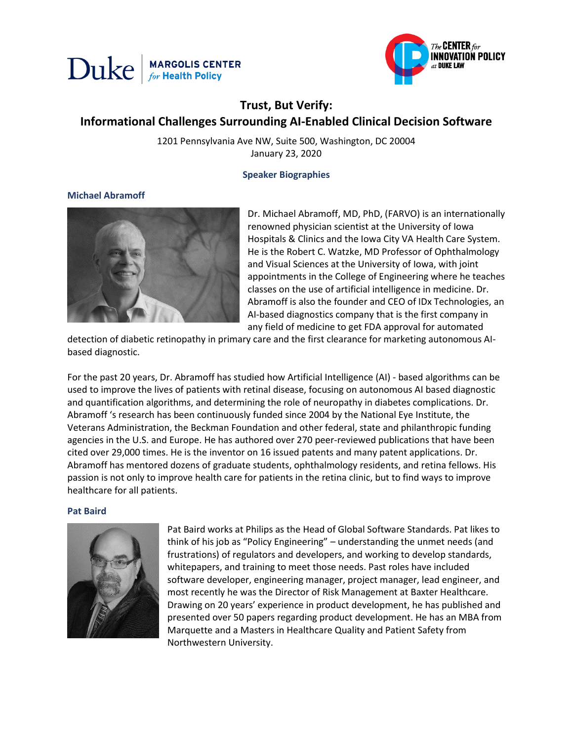



# **Trust, But Verify: Informational Challenges Surrounding AI-Enabled Clinical Decision Software**

1201 Pennsylvania Ave NW, Suite 500, Washington, DC 20004 January 23, 2020

**Speaker Biographies**

# **Michael Abramoff**



Dr. Michael Abramoff, MD, PhD, (FARVO) is an internationally renowned physician scientist at the University of Iowa Hospitals & Clinics and the Iowa City VA Health Care System. He is the Robert C. Watzke, MD Professor of Ophthalmology and Visual Sciences at the University of Iowa, with joint appointments in the College of Engineering where he teaches classes on the use of artificial intelligence in medicine. Dr. Abramoff is also the founder and CEO of IDx Technologies, an AI-based diagnostics company that is the first company in any field of medicine to get FDA approval for automated

detection of diabetic retinopathy in primary care and the first clearance for marketing autonomous AIbased diagnostic.

For the past 20 years, Dr. Abramoff has studied how Artificial Intelligence (AI) - based algorithms can be used to improve the lives of patients with retinal disease, focusing on autonomous AI based diagnostic and quantification algorithms, and determining the role of neuropathy in diabetes complications. Dr. Abramoff 's research has been continuously funded since 2004 by the National Eye Institute, the Veterans Administration, the Beckman Foundation and other federal, state and philanthropic funding agencies in the U.S. and Europe. He has authored over 270 peer-reviewed publications that have been cited over 29,000 times. He is the inventor on 16 issued patents and many patent applications. Dr. Abramoff has mentored dozens of graduate students, ophthalmology residents, and retina fellows. His passion is not only to improve health care for patients in the retina clinic, but to find ways to improve healthcare for all patients.

## **Pat Baird**



Pat Baird works at Philips as the Head of Global Software Standards. Pat likes to think of his job as "Policy Engineering" – understanding the unmet needs (and frustrations) of regulators and developers, and working to develop standards, whitepapers, and training to meet those needs. Past roles have included software developer, engineering manager, project manager, lead engineer, and most recently he was the Director of Risk Management at Baxter Healthcare. Drawing on 20 years' experience in product development, he has published and presented over 50 papers regarding product development. He has an MBA from Marquette and a Masters in Healthcare Quality and Patient Safety from Northwestern University.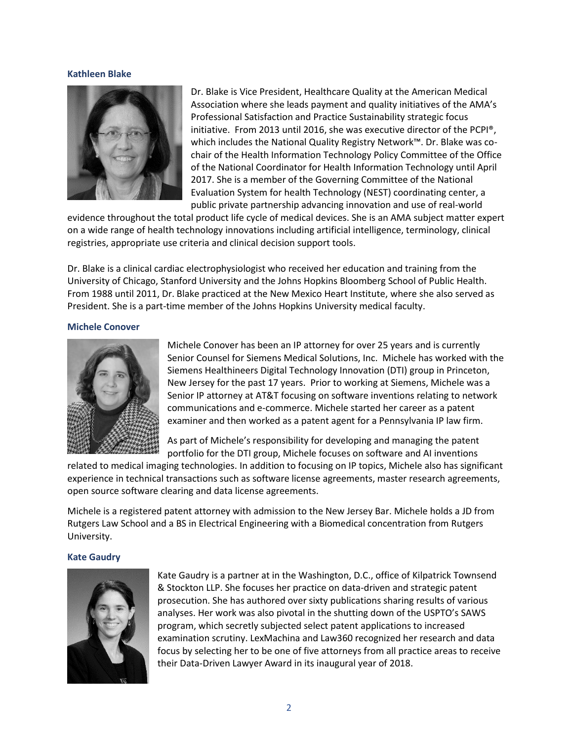# **Kathleen Blake**



Dr. Blake is Vice President, Healthcare Quality at the American Medical Association where she leads payment and quality initiatives of the AMA's Professional Satisfaction and Practice Sustainability strategic focus initiative. From 2013 until 2016, she was executive director of the PCPI®, which includes the National Quality Registry Network™. Dr. Blake was cochair of the Health Information Technology Policy Committee of the Office of the National Coordinator for Health Information Technology until April 2017. She is a member of the Governing Committee of the National Evaluation System for health Technology (NEST) coordinating center, a public private partnership advancing innovation and use of real-world

evidence throughout the total product life cycle of medical devices. She is an AMA subject matter expert on a wide range of health technology innovations including artificial intelligence, terminology, clinical registries, appropriate use criteria and clinical decision support tools.

Dr. Blake is a clinical cardiac electrophysiologist who received her education and training from the University of Chicago, Stanford University and the Johns Hopkins Bloomberg School of Public Health. From 1988 until 2011, Dr. Blake practiced at the New Mexico Heart Institute, where she also served as President. She is a part-time member of the Johns Hopkins University medical faculty.

# **Michele Conover**



Michele Conover has been an IP attorney for over 25 years and is currently Senior Counsel for Siemens Medical Solutions, Inc. Michele has worked with the Siemens Healthineers Digital Technology Innovation (DTI) group in Princeton, New Jersey for the past 17 years. Prior to working at Siemens, Michele was a Senior IP attorney at AT&T focusing on software inventions relating to network communications and e-commerce. Michele started her career as a patent examiner and then worked as a patent agent for a Pennsylvania IP law firm.

As part of Michele's responsibility for developing and managing the patent portfolio for the DTI group, Michele focuses on software and AI inventions

related to medical imaging technologies. In addition to focusing on IP topics, Michele also has significant experience in technical transactions such as software license agreements, master research agreements, open source software clearing and data license agreements.

Michele is a registered patent attorney with admission to the New Jersey Bar. Michele holds a JD from Rutgers Law School and a BS in Electrical Engineering with a Biomedical concentration from Rutgers University.

## **Kate Gaudry**



Kate Gaudry is a partner at in the Washington, D.C., office of Kilpatrick Townsend & Stockton LLP. She focuses her practice on data-driven and strategic patent prosecution. She has authored over sixty publications sharing results of various analyses. Her work was also pivotal in the shutting down of the USPTO's SAWS program, which secretly subjected select patent applications to increased examination scrutiny. LexMachina and Law360 recognized her research and data focus by selecting her to be one of five attorneys from all practice areas to receive their Data-Driven Lawyer Award in its inaugural year of 2018.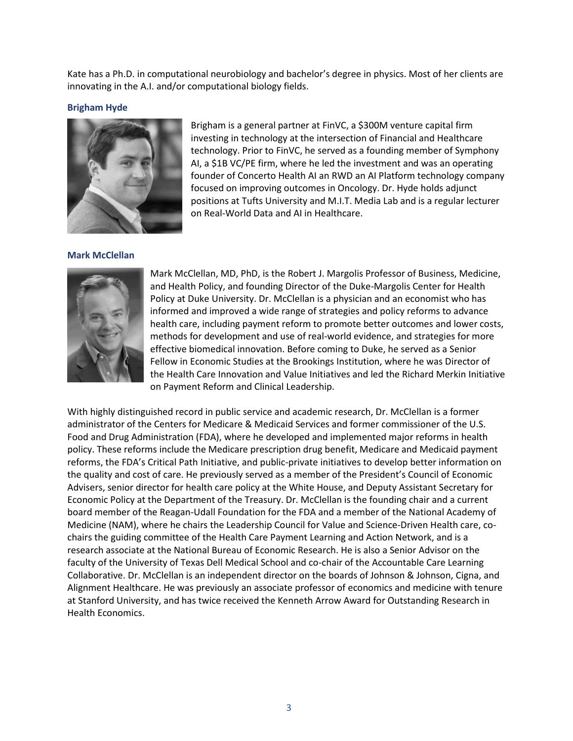Kate has a Ph.D. in computational neurobiology and bachelor's degree in physics. Most of her clients are innovating in the A.I. and/or computational biology fields.

# **Brigham Hyde**



Brigham is a general partner at FinVC, a \$300M venture capital firm investing in technology at the intersection of Financial and Healthcare technology. Prior to FinVC, he served as a founding member of Symphony AI, a \$1B VC/PE firm, where he led the investment and was an operating founder of Concerto Health AI an RWD an AI Platform technology company focused on improving outcomes in Oncology. Dr. Hyde holds adjunct positions at Tufts University and M.I.T. Media Lab and is a regular lecturer on Real-World Data and AI in Healthcare.

# **Mark McClellan**



Mark McClellan, MD, PhD, is the Robert J. Margolis Professor of Business, Medicine, and Health Policy, and founding Director of the Duke-Margolis Center for Health Policy at Duke University. Dr. McClellan is a physician and an economist who has informed and improved a wide range of strategies and policy reforms to advance health care, including payment reform to promote better outcomes and lower costs, methods for development and use of real-world evidence, and strategies for more effective biomedical innovation. Before coming to Duke, he served as a Senior Fellow in Economic Studies at the Brookings Institution, where he was Director of the Health Care Innovation and Value Initiatives and led the Richard Merkin Initiative on Payment Reform and Clinical Leadership.

With highly distinguished record in public service and academic research, Dr. McClellan is a former administrator of the Centers for Medicare & Medicaid Services and former commissioner of the U.S. Food and Drug Administration (FDA), where he developed and implemented major reforms in health policy. These reforms include the Medicare prescription drug benefit, Medicare and Medicaid payment reforms, the FDA's Critical Path Initiative, and public-private initiatives to develop better information on the quality and cost of care. He previously served as a member of the President's Council of Economic Advisers, senior director for health care policy at the White House, and Deputy Assistant Secretary for Economic Policy at the Department of the Treasury. Dr. McClellan is the founding chair and a current board member of the Reagan-Udall Foundation for the FDA and a member of the National Academy of Medicine (NAM), where he chairs the Leadership Council for Value and Science-Driven Health care, cochairs the guiding committee of the Health Care Payment Learning and Action Network, and is a research associate at the National Bureau of Economic Research. He is also a Senior Advisor on the faculty of the University of Texas Dell Medical School and co-chair of the Accountable Care Learning Collaborative. Dr. McClellan is an independent director on the boards of Johnson & Johnson, Cigna, and Alignment Healthcare. He was previously an associate professor of economics and medicine with tenure at Stanford University, and has twice received the Kenneth Arrow Award for Outstanding Research in Health Economics.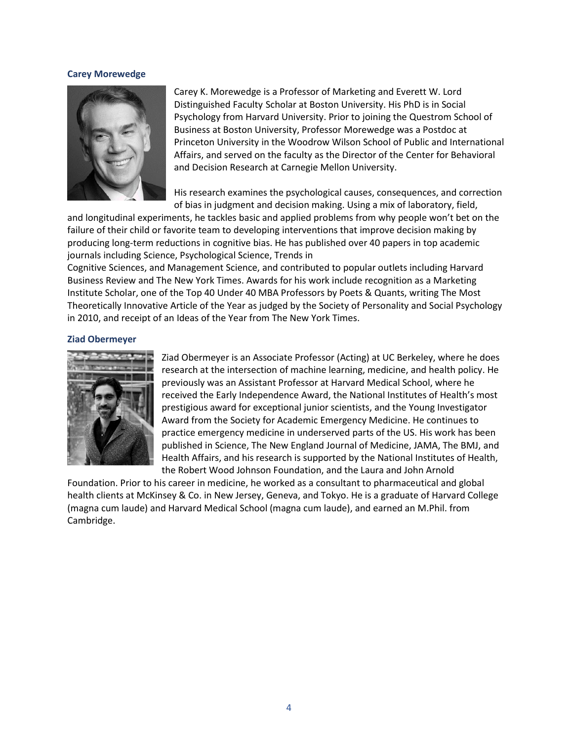#### **Carey Morewedge**



Carey K. Morewedge is a Professor of Marketing and Everett W. Lord Distinguished Faculty Scholar at Boston University. His PhD is in Social Psychology from Harvard University. Prior to joining the Questrom School of Business at Boston University, Professor Morewedge was a Postdoc at Princeton University in the Woodrow Wilson School of Public and International Affairs, and served on the faculty as the Director of the Center for Behavioral and Decision Research at Carnegie Mellon University.

His research examines the psychological causes, consequences, and correction of bias in judgment and decision making. Using a mix of laboratory, field,

and longitudinal experiments, he tackles basic and applied problems from why people won't bet on the failure of their child or favorite team to developing interventions that improve decision making by producing long-term reductions in cognitive bias. He has published over 40 papers in top academic journals including Science, Psychological Science, Trends in

Cognitive Sciences, and Management Science, and contributed to popular outlets including Harvard Business Review and The New York Times. Awards for his work include recognition as a Marketing Institute Scholar, one of the Top 40 Under 40 MBA Professors by Poets & Quants, writing The Most Theoretically Innovative Article of the Year as judged by the Society of Personality and Social Psychology in 2010, and receipt of an Ideas of the Year from The New York Times.

# **Ziad Obermeyer**



Ziad Obermeyer is an Associate Professor (Acting) at UC Berkeley, where he does research at the intersection of machine learning, medicine, and health policy. He previously was an Assistant Professor at Harvard Medical School, where he received the Early Independence Award, the National Institutes of Health's most prestigious award for exceptional junior scientists, and the Young Investigator Award from the Society for Academic Emergency Medicine. He continues to practice emergency medicine in underserved parts of the US. His work has been published in Science, The New England Journal of Medicine, JAMA, The BMJ, and Health Affairs, and his research is supported by the National Institutes of Health, the Robert Wood Johnson Foundation, and the Laura and John Arnold

Foundation. Prior to his career in medicine, he worked as a consultant to pharmaceutical and global health clients at McKinsey & Co. in New Jersey, Geneva, and Tokyo. He is a graduate of Harvard College (magna cum laude) and Harvard Medical School (magna cum laude), and earned an M.Phil. from Cambridge.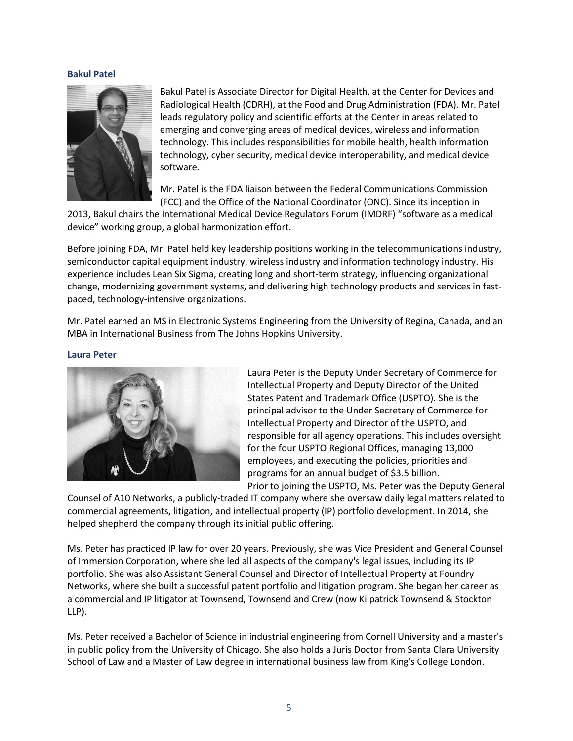# **Bakul Patel**



Bakul Patel is Associate Director for Digital Health, at the Center for Devices and Radiological Health (CDRH), at the Food and Drug Administration (FDA). Mr. Patel leads regulatory policy and scientific efforts at the Center in areas related to emerging and converging areas of medical devices, wireless and information technology. This includes responsibilities for mobile health, health information technology, cyber security, medical device interoperability, and medical device software.

Mr. Patel is the FDA liaison between the Federal Communications Commission (FCC) and the Office of the National Coordinator (ONC). Since its inception in

2013, Bakul chairs the International Medical Device Regulators Forum (IMDRF) "software as a medical device" working group, a global harmonization effort.

Before joining FDA, Mr. Patel held key leadership positions working in the telecommunications industry, semiconductor capital equipment industry, wireless industry and information technology industry. His experience includes Lean Six Sigma, creating long and short-term strategy, influencing organizational change, modernizing government systems, and delivering high technology products and services in fastpaced, technology-intensive organizations.

Mr. Patel earned an MS in Electronic Systems Engineering from the University of Regina, Canada, and an MBA in International Business from The Johns Hopkins University.

# **Laura Peter**



Laura Peter is the Deputy Under Secretary of Commerce for Intellectual Property and Deputy Director of the United States Patent and Trademark Office (USPTO). She is the principal advisor to the Under Secretary of Commerce for Intellectual Property and Director of the USPTO, and responsible for all agency operations. This includes oversight for the four USPTO Regional Offices, managing 13,000 employees, and executing the policies, priorities and programs for an annual budget of \$3.5 billion. Prior to joining the USPTO, Ms. Peter was the Deputy General

Counsel of A10 Networks, a publicly-traded IT company where she oversaw daily legal matters related to commercial agreements, litigation, and intellectual property (IP) portfolio development. In 2014, she helped shepherd the company through its initial public offering.

Ms. Peter has practiced IP law for over 20 years. Previously, she was Vice President and General Counsel of Immersion Corporation, where she led all aspects of the company's legal issues, including its IP portfolio. She was also Assistant General Counsel and Director of Intellectual Property at Foundry Networks, where she built a successful patent portfolio and litigation program. She began her career as a commercial and IP litigator at Townsend, Townsend and Crew (now Kilpatrick Townsend & Stockton LLP).

Ms. Peter received a Bachelor of Science in industrial engineering from Cornell University and a master's in public policy from the University of Chicago. She also holds a Juris Doctor from Santa Clara University School of Law and a Master of Law degree in international business law from King's College London.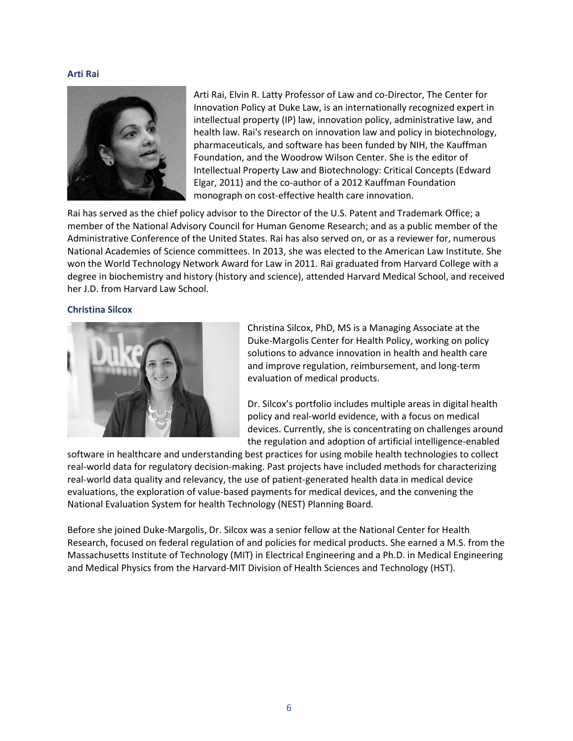# **Arti Rai**



Arti Rai, Elvin R. Latty Professor of Law and co-Director, The Center for Innovation Policy at Duke Law, is an internationally recognized expert in intellectual property (IP) law, innovation policy, administrative law, and health law. Rai's research on innovation law and policy in biotechnology, pharmaceuticals, and software has been funded by NIH, the Kauffman Foundation, and the Woodrow Wilson Center. She is the editor of Intellectual Property Law and Biotechnology: Critical Concepts (Edward Elgar, 2011) and the co-author of a 2012 Kauffman Foundation monograph on cost-effective health care innovation.

Rai has served as the chief policy advisor to the Director of the U.S. Patent and Trademark Office; a member of the National Advisory Council for Human Genome Research; and as a public member of the Administrative Conference of the United States. Rai has also served on, or as a reviewer for, numerous National Academies of Science committees. In 2013, she was elected to the American Law Institute. She won the World Technology Network Award for Law in 2011. Rai graduated from Harvard College with a degree in biochemistry and history (history and science), attended Harvard Medical School, and received her J.D. from Harvard Law School.

## **Christina Silcox**



Christina Silcox, PhD, MS is a Managing Associate at the Duke-Margolis Center for Health Policy, working on policy solutions to advance innovation in health and health care and improve regulation, reimbursement, and long-term evaluation of medical products.

Dr. Silcox's portfolio includes multiple areas in digital health policy and real-world evidence, with a focus on medical devices. Currently, she is concentrating on challenges around the regulation and adoption of artificial intelligence-enabled

software in healthcare and understanding best practices for using mobile health technologies to collect real-world data for regulatory decision-making. Past projects have included methods for characterizing real-world data quality and relevancy, the use of patient-generated health data in medical device evaluations, the exploration of value-based payments for medical devices, and the convening the National Evaluation System for health Technology (NEST) Planning Board.

Before she joined Duke-Margolis, Dr. Silcox was a senior fellow at the National Center for Health Research, focused on federal regulation of and policies for medical products. She earned a M.S. from the Massachusetts Institute of Technology (MIT) in Electrical Engineering and a Ph.D. in Medical Engineering and Medical Physics from the Harvard-MIT Division of Health Sciences and Technology (HST).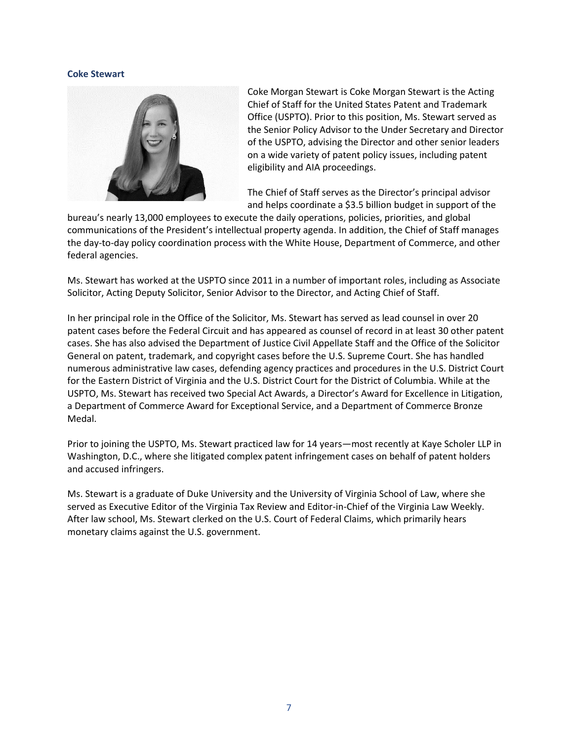# **Coke Stewart**



Coke Morgan Stewart is Coke Morgan Stewart is the Acting Chief of Staff for the United States Patent and Trademark Office (USPTO). Prior to this position, Ms. Stewart served as the Senior Policy Advisor to the Under Secretary and Director of the USPTO, advising the Director and other senior leaders on a wide variety of patent policy issues, including patent eligibility and AIA proceedings.

The Chief of Staff serves as the Director's principal advisor and helps coordinate a \$3.5 billion budget in support of the

bureau's nearly 13,000 employees to execute the daily operations, policies, priorities, and global communications of the President's intellectual property agenda. In addition, the Chief of Staff manages the day-to-day policy coordination process with the White House, Department of Commerce, and other federal agencies.

Ms. Stewart has worked at the USPTO since 2011 in a number of important roles, including as Associate Solicitor, Acting Deputy Solicitor, Senior Advisor to the Director, and Acting Chief of Staff.

In her principal role in the Office of the Solicitor, Ms. Stewart has served as lead counsel in over 20 patent cases before the Federal Circuit and has appeared as counsel of record in at least 30 other patent cases. She has also advised the Department of Justice Civil Appellate Staff and the Office of the Solicitor General on patent, trademark, and copyright cases before the U.S. Supreme Court. She has handled numerous administrative law cases, defending agency practices and procedures in the U.S. District Court for the Eastern District of Virginia and the U.S. District Court for the District of Columbia. While at the USPTO, Ms. Stewart has received two Special Act Awards, a Director's Award for Excellence in Litigation, a Department of Commerce Award for Exceptional Service, and a Department of Commerce Bronze Medal.

Prior to joining the USPTO, Ms. Stewart practiced law for 14 years—most recently at Kaye Scholer LLP in Washington, D.C., where she litigated complex patent infringement cases on behalf of patent holders and accused infringers.

Ms. Stewart is a graduate of Duke University and the University of Virginia School of Law, where she served as Executive Editor of the Virginia Tax Review and Editor-in-Chief of the Virginia Law Weekly. After law school, Ms. Stewart clerked on the U.S. Court of Federal Claims, which primarily hears monetary claims against the U.S. government.